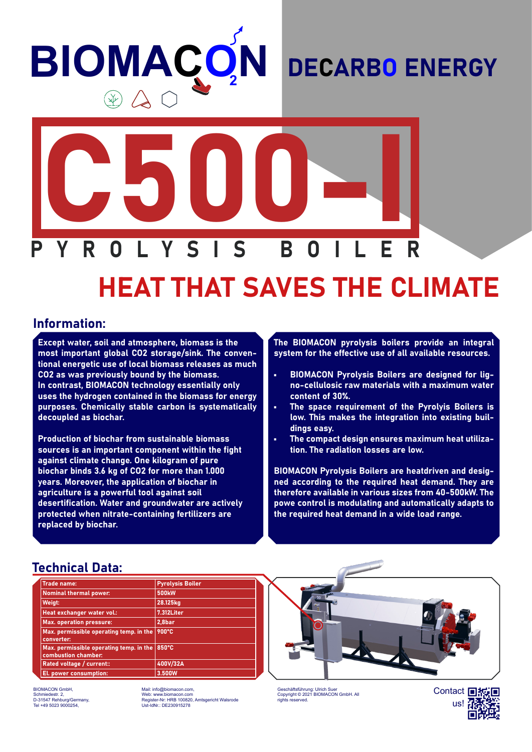# **BIOMAC N**

### DECARBO ENERGY



## HEAT THAT SAVES THE CLIMATE

#### Information:

Except water, soil and atmosphere, biomass is the most important global CO2 storage/sink. The conventional energetic use of local biomass releases as much CO2 as was previously bound by the biomass. In contrast, BIOMACON technology essentially only uses the hydrogen contained in the biomass for energy purposes. Chemically stable carbon is systematically decoupled as biochar.

Production of biochar from sustainable biomass sources is an important component within the fight against climate change. One kilogram of pure biochar binds 3.6 kg of CO2 for more than 1.000 years. Moreover, the application of biochar in agriculture is a powerful tool against soil desertification. Water and groundwater are actively protected when nitrate-containing fertilizers are replaced by biochar.

The BIOMACON pyrolysis boilers provide an integral system for the effective use of all available resources.

- BIOMACON Pyrolysis Boilers are designed for ligno-cellulosic raw materials with a maximum water content of 30%.
- The space requirement of the Pyrolyis Boilers is low. This makes the integration into existing buildings easy.
- The compact design ensures maximum heat utilization. The radiation losses are low.

BIOMACON Pyrolysis Boilers are heatdriven and designed according to the required heat demand. They are therefore available in various sizes from 40-500kW. The powe control is modulating and automatically adapts to the required heat demand in a wide load range.

#### Technical Data:

| Trade name:                                                    | <b>Pyrolysis Boiler</b> |
|----------------------------------------------------------------|-------------------------|
| <b>Nominal thermal power:</b>                                  | 500 <sub>k</sub> w      |
| Weigt:                                                         | 28.125kg                |
| Heat exchanger water vol.:                                     | 7.312Liter              |
| <b>Max. operation pressure:</b>                                | 2,8bar                  |
| Max. permissible operating temp. in the<br>converter:          | 900°C                   |
| Max. permissible operating temp. in the<br>combustion chamber: | 850°C                   |
| Rated voltage / current::                                      | 400V/32A                |
| El. power consumption:                                         | 3.500W                  |

BIOMACON GmbH, Schmiedestr. 2, D-31547 Rehburg/Germany, Tel +49 5023 9000254,

Mail: info@biomacon.com, Web: www.biomacon.com Register-Nr: HRB 100820, Amtsgericht Walsrode Ust-IdNr.: DE230915278



Geschäftsführung: Ulrich Suer Copyright © 2021 BIOMACON GmbH. All rights reserved.

Contact 回报画 us!